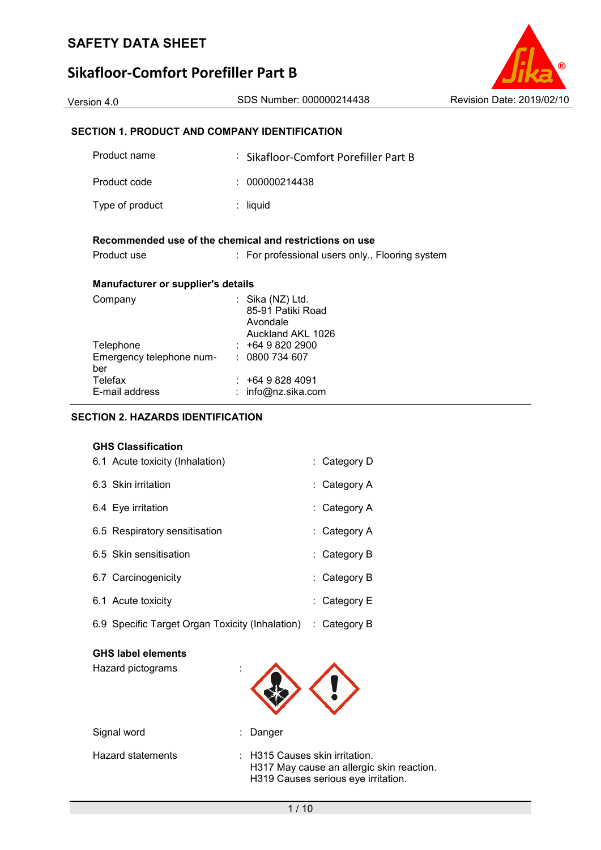# **Sikafloor-Comfort Porefiller Part B**



| SECTION 1. PRODUCT AND COMPANY IDENTIFICATION |                                                                          |  |  |  |
|-----------------------------------------------|--------------------------------------------------------------------------|--|--|--|
| Product name                                  | : Sikafloor-Comfort Porefiller Part B                                    |  |  |  |
| Product code                                  | 000000214438                                                             |  |  |  |
| Type of product                               | $:$ liquid                                                               |  |  |  |
|                                               | Recommended use of the chemical and restrictions on use                  |  |  |  |
| Product use                                   | : For professional users only., Flooring system                          |  |  |  |
| <b>Manufacturer or supplier's details</b>     |                                                                          |  |  |  |
| Company                                       | : Sika $(NZ)$ Ltd.<br>85-91 Patiki Road<br>Avondale<br>Auckland AKL 1026 |  |  |  |
| Telephone                                     | $: +6498202900$                                                          |  |  |  |
| Emergency telephone num-<br>ber               | : 0800734607                                                             |  |  |  |
| Telefax                                       | : +64 9 828 4091                                                         |  |  |  |
| E-mail address                                | info@nz.sika.com                                                         |  |  |  |
| SECTION 2. HAZARDS IDENTIFICATION             |                                                                          |  |  |  |

## **GHS Classification**

| 6.1 Acute toxicity (Inhalation)                 | : Category D   |
|-------------------------------------------------|----------------|
| 6.3 Skin irritation                             | : Category A   |
| 6.4 Eye irritation                              | : Category A   |
| 6.5 Respiratory sensitisation                   | : Category A   |
| 6.5 Skin sensitisation                          | : Category B   |
| 6.7 Carcinogenicity                             | $:$ Category B |
| 6.1 Acute toxicity                              | : Category $E$ |
| 6.9 Specific Target Organ Toxicity (Inhalation) | $:$ Category B |

## **GHS label elements**

Hazard pictograms :



| Signal word       | : Danger                                                                                                               |
|-------------------|------------------------------------------------------------------------------------------------------------------------|
| Hazard statements | $\pm$ H315 Causes skin irritation.<br>H317 May cause an allergic skin reaction.<br>H319 Causes serious eye irritation. |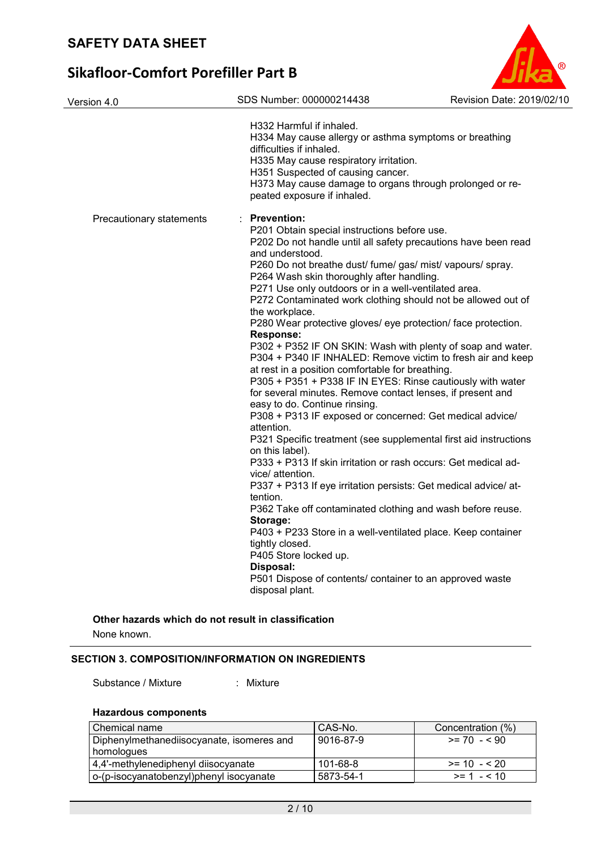| Version 4.0              | SDS Number: 000000214438                                                                                                                                                                                                                                                                                                                                                                                                                                                                                                                                                                                                                                                                                                                                                                                                                                                                                                                                                                                                                                                                                                                                                                                                                                                                                                                                                                                                                                                 | Revision Date: 2019/02/10 |
|--------------------------|--------------------------------------------------------------------------------------------------------------------------------------------------------------------------------------------------------------------------------------------------------------------------------------------------------------------------------------------------------------------------------------------------------------------------------------------------------------------------------------------------------------------------------------------------------------------------------------------------------------------------------------------------------------------------------------------------------------------------------------------------------------------------------------------------------------------------------------------------------------------------------------------------------------------------------------------------------------------------------------------------------------------------------------------------------------------------------------------------------------------------------------------------------------------------------------------------------------------------------------------------------------------------------------------------------------------------------------------------------------------------------------------------------------------------------------------------------------------------|---------------------------|
|                          | H332 Harmful if inhaled.<br>H334 May cause allergy or asthma symptoms or breathing<br>difficulties if inhaled.<br>H335 May cause respiratory irritation.<br>H351 Suspected of causing cancer.<br>H373 May cause damage to organs through prolonged or re-<br>peated exposure if inhaled.                                                                                                                                                                                                                                                                                                                                                                                                                                                                                                                                                                                                                                                                                                                                                                                                                                                                                                                                                                                                                                                                                                                                                                                 |                           |
| Precautionary statements | <b>Prevention:</b><br>P201 Obtain special instructions before use.<br>P202 Do not handle until all safety precautions have been read<br>and understood.<br>P260 Do not breathe dust/ fume/ gas/ mist/ vapours/ spray.<br>P264 Wash skin thoroughly after handling.<br>P271 Use only outdoors or in a well-ventilated area.<br>P272 Contaminated work clothing should not be allowed out of<br>the workplace.<br>P280 Wear protective gloves/ eye protection/ face protection.<br><b>Response:</b><br>P302 + P352 IF ON SKIN: Wash with plenty of soap and water.<br>P304 + P340 IF INHALED: Remove victim to fresh air and keep<br>at rest in a position comfortable for breathing.<br>P305 + P351 + P338 IF IN EYES: Rinse cautiously with water<br>for several minutes. Remove contact lenses, if present and<br>easy to do. Continue rinsing.<br>P308 + P313 IF exposed or concerned: Get medical advice/<br>attention.<br>P321 Specific treatment (see supplemental first aid instructions<br>on this label).<br>P333 + P313 If skin irritation or rash occurs: Get medical ad-<br>vice/ attention.<br>P337 + P313 If eye irritation persists: Get medical advice/ at-<br>tention.<br>P362 Take off contaminated clothing and wash before reuse.<br>Storage:<br>P403 + P233 Store in a well-ventilated place. Keep container<br>tightly closed.<br>P405 Store locked up.<br>Disposal:<br>P501 Dispose of contents/ container to an approved waste<br>disposal plant. |                           |

®

# **Other hazards which do not result in classification**

None known.

# **SECTION 3. COMPOSITION/INFORMATION ON INGREDIENTS**

Substance / Mixture : Mixture

# **Hazardous components**

| l Chemical name                           | CAS-No.   | Concentration (%) |
|-------------------------------------------|-----------|-------------------|
| Diphenylmethanediisocyanate, isomeres and | 9016-87-9 | $>= 70 - 590$     |
| homologues                                |           |                   |
| 4,4'-methylenediphenyl diisocyanate       | 101-68-8  | $>= 10 - 520$     |
| o-(p-isocyanatobenzyl)phenyl isocyanate   | 5873-54-1 | $>= 1 - 10$       |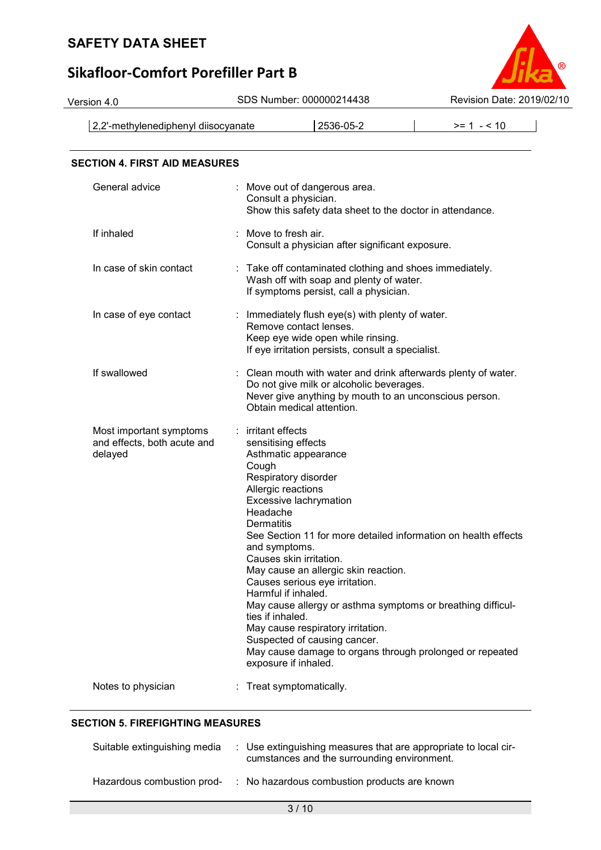# **Sikafloor-Comfort Porefiller Part B**



2,2'-methylenediphenyl diisocyanate 2536-05-2 >= 1 - < 10

| <b>SECTION 4. FIRST AID MEASURES</b>                              |                                                                                                                                                                                                                                                                                                                                                                                                                                                                                                                                                                                                                                         |
|-------------------------------------------------------------------|-----------------------------------------------------------------------------------------------------------------------------------------------------------------------------------------------------------------------------------------------------------------------------------------------------------------------------------------------------------------------------------------------------------------------------------------------------------------------------------------------------------------------------------------------------------------------------------------------------------------------------------------|
| General advice                                                    | : Move out of dangerous area.<br>Consult a physician.<br>Show this safety data sheet to the doctor in attendance.                                                                                                                                                                                                                                                                                                                                                                                                                                                                                                                       |
| If inhaled                                                        | Move to fresh air.<br>Consult a physician after significant exposure.                                                                                                                                                                                                                                                                                                                                                                                                                                                                                                                                                                   |
| In case of skin contact                                           | : Take off contaminated clothing and shoes immediately.<br>Wash off with soap and plenty of water.<br>If symptoms persist, call a physician.                                                                                                                                                                                                                                                                                                                                                                                                                                                                                            |
| In case of eye contact                                            | : Immediately flush eye(s) with plenty of water.<br>Remove contact lenses.<br>Keep eye wide open while rinsing.<br>If eye irritation persists, consult a specialist.                                                                                                                                                                                                                                                                                                                                                                                                                                                                    |
| If swallowed                                                      | Clean mouth with water and drink afterwards plenty of water.<br>t.<br>Do not give milk or alcoholic beverages.<br>Never give anything by mouth to an unconscious person.<br>Obtain medical attention.                                                                                                                                                                                                                                                                                                                                                                                                                                   |
| Most important symptoms<br>and effects, both acute and<br>delayed | : irritant effects<br>sensitising effects<br>Asthmatic appearance<br>Cough<br>Respiratory disorder<br>Allergic reactions<br>Excessive lachrymation<br>Headache<br>Dermatitis<br>See Section 11 for more detailed information on health effects<br>and symptoms.<br>Causes skin irritation.<br>May cause an allergic skin reaction.<br>Causes serious eye irritation.<br>Harmful if inhaled.<br>May cause allergy or asthma symptoms or breathing difficul-<br>ties if inhaled.<br>May cause respiratory irritation.<br>Suspected of causing cancer.<br>May cause damage to organs through prolonged or repeated<br>exposure if inhaled. |
| Notes to physician                                                | Treat symptomatically.                                                                                                                                                                                                                                                                                                                                                                                                                                                                                                                                                                                                                  |

# **SECTION 5. FIREFIGHTING MEASURES**

| Suitable extinguishing media | : Use extinguishing measures that are appropriate to local cir-<br>cumstances and the surrounding environment. |
|------------------------------|----------------------------------------------------------------------------------------------------------------|
| Hazardous combustion prod-   | : No hazardous combustion products are known                                                                   |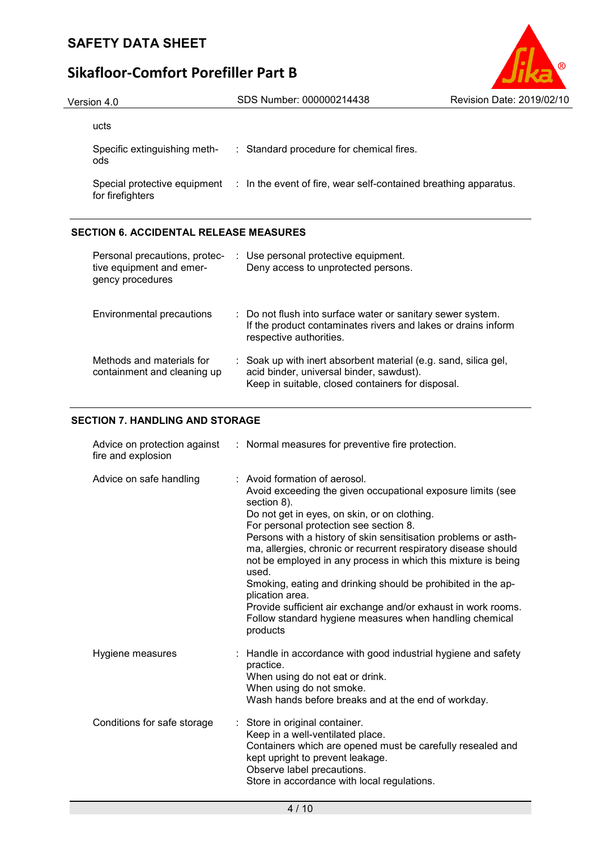

| Version 4.0 | SDS Number: 000000214438                         | Revision Date: 2019/02/10                                                                     |
|-------------|--------------------------------------------------|-----------------------------------------------------------------------------------------------|
| ucts        |                                                  |                                                                                               |
| ods         | : Standard procedure for chemical fires.         |                                                                                               |
|             |                                                  |                                                                                               |
|             | Specific extinguishing meth-<br>for firefighters | Special protective equipment : In the event of fire, wear self-contained breathing apparatus. |

# **SECTION 6. ACCIDENTAL RELEASE MEASURES**

| Personal precautions, protec-<br>tive equipment and emer-<br>gency procedures | : Use personal protective equipment.<br>Deny access to unprotected persons.                                                                                      |
|-------------------------------------------------------------------------------|------------------------------------------------------------------------------------------------------------------------------------------------------------------|
| Environmental precautions                                                     | : Do not flush into surface water or sanitary sewer system.<br>If the product contaminates rivers and lakes or drains inform<br>respective authorities.          |
| Methods and materials for<br>containment and cleaning up                      | : Soak up with inert absorbent material (e.g. sand, silica gel,<br>acid binder, universal binder, sawdust).<br>Keep in suitable, closed containers for disposal. |

# **SECTION 7. HANDLING AND STORAGE**

| fire and explosion          | Advice on protection against : Normal measures for preventive fire protection.                                                                                                                                                                                                                                                                                                                                                                                                                                                                                                                                                                 |
|-----------------------------|------------------------------------------------------------------------------------------------------------------------------------------------------------------------------------------------------------------------------------------------------------------------------------------------------------------------------------------------------------------------------------------------------------------------------------------------------------------------------------------------------------------------------------------------------------------------------------------------------------------------------------------------|
| Advice on safe handling     | : Avoid formation of aerosol.<br>Avoid exceeding the given occupational exposure limits (see<br>section 8).<br>Do not get in eyes, on skin, or on clothing.<br>For personal protection see section 8.<br>Persons with a history of skin sensitisation problems or asth-<br>ma, allergies, chronic or recurrent respiratory disease should<br>not be employed in any process in which this mixture is being<br>used.<br>Smoking, eating and drinking should be prohibited in the ap-<br>plication area.<br>Provide sufficient air exchange and/or exhaust in work rooms.<br>Follow standard hygiene measures when handling chemical<br>products |
| Hygiene measures            | : Handle in accordance with good industrial hygiene and safety<br>practice.<br>When using do not eat or drink.<br>When using do not smoke.<br>Wash hands before breaks and at the end of workday.                                                                                                                                                                                                                                                                                                                                                                                                                                              |
| Conditions for safe storage | Store in original container.<br>÷<br>Keep in a well-ventilated place.<br>Containers which are opened must be carefully resealed and<br>kept upright to prevent leakage.<br>Observe label precautions.<br>Store in accordance with local regulations.                                                                                                                                                                                                                                                                                                                                                                                           |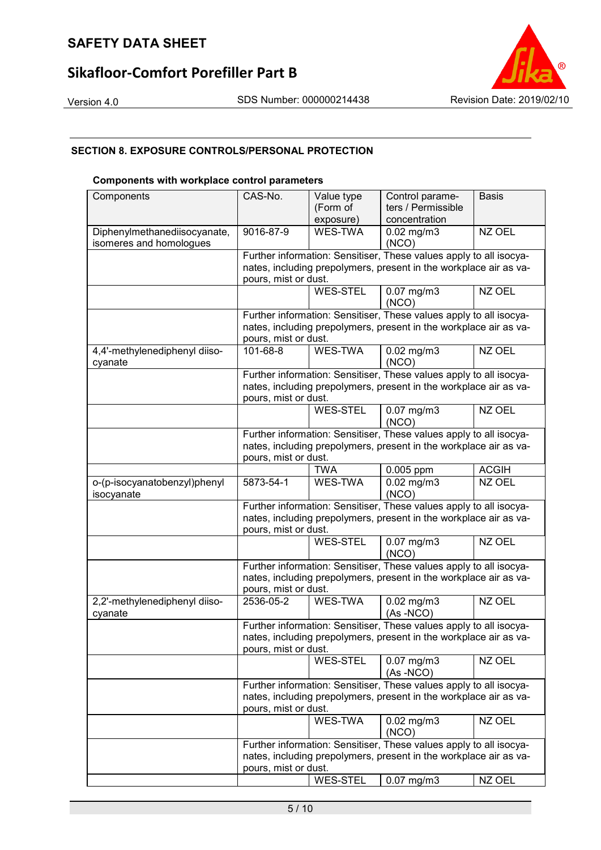# **Sikafloor-Comfort Porefiller Part B**





# **SECTION 8. EXPOSURE CONTROLS/PERSONAL PROTECTION**

#### **Components with workplace control parameters**

| Components                    | CAS-No.                                                                                                                                 | Value type      | Control parame-                                                    | <b>Basis</b> |  |
|-------------------------------|-----------------------------------------------------------------------------------------------------------------------------------------|-----------------|--------------------------------------------------------------------|--------------|--|
|                               |                                                                                                                                         | (Form of        | ters / Permissible                                                 |              |  |
|                               |                                                                                                                                         | exposure)       | concentration                                                      |              |  |
| Diphenylmethanediisocyanate,  | 9016-87-9                                                                                                                               | WES-TWA         | $0.02$ mg/m $3$                                                    | NZ OEL       |  |
| isomeres and homologues       |                                                                                                                                         |                 | (NCO)                                                              |              |  |
|                               |                                                                                                                                         |                 | Further information: Sensitiser, These values apply to all isocya- |              |  |
|                               |                                                                                                                                         |                 | nates, including prepolymers, present in the workplace air as va-  |              |  |
|                               | pours, mist or dust.                                                                                                                    |                 |                                                                    |              |  |
|                               |                                                                                                                                         | <b>WES-STEL</b> | $0.07$ mg/m $3$                                                    | NZ OEL       |  |
|                               |                                                                                                                                         |                 | (NCO)                                                              |              |  |
|                               |                                                                                                                                         |                 |                                                                    |              |  |
|                               | Further information: Sensitiser, These values apply to all isocya-<br>nates, including prepolymers, present in the workplace air as va- |                 |                                                                    |              |  |
|                               | pours, mist or dust.                                                                                                                    |                 |                                                                    |              |  |
| 4,4'-methylenediphenyl diiso- | 101-68-8                                                                                                                                | WES-TWA         | $0.02$ mg/m $3$                                                    | NZ OEL       |  |
| cyanate                       |                                                                                                                                         |                 | (NCO)                                                              |              |  |
|                               |                                                                                                                                         |                 | Further information: Sensitiser, These values apply to all isocya- |              |  |
|                               |                                                                                                                                         |                 | nates, including prepolymers, present in the workplace air as va-  |              |  |
|                               | pours, mist or dust.                                                                                                                    |                 |                                                                    |              |  |
|                               |                                                                                                                                         | <b>WES-STEL</b> | $0.07$ mg/m $3$                                                    | NZ OEL       |  |
|                               |                                                                                                                                         |                 | (NCO)                                                              |              |  |
|                               |                                                                                                                                         |                 | Further information: Sensitiser, These values apply to all isocya- |              |  |
|                               |                                                                                                                                         |                 | nates, including prepolymers, present in the workplace air as va-  |              |  |
|                               | pours, mist or dust.                                                                                                                    |                 |                                                                    |              |  |
|                               |                                                                                                                                         | <b>TWA</b>      | 0.005 ppm                                                          | <b>ACGIH</b> |  |
| o-(p-isocyanatobenzyl)phenyl  | 5873-54-1                                                                                                                               | WES-TWA         | $\overline{0.02}$ mg/m3                                            | NZ OEL       |  |
| isocyanate                    |                                                                                                                                         |                 | (NCO)                                                              |              |  |
|                               |                                                                                                                                         |                 | Further information: Sensitiser, These values apply to all isocya- |              |  |
|                               | nates, including prepolymers, present in the workplace air as va-                                                                       |                 |                                                                    |              |  |
|                               | pours, mist or dust.                                                                                                                    |                 |                                                                    |              |  |
|                               |                                                                                                                                         | <b>WES-STEL</b> | $0.07$ mg/m $3$                                                    | NZ OEL       |  |
|                               |                                                                                                                                         |                 | (NCO)                                                              |              |  |
|                               |                                                                                                                                         |                 | Further information: Sensitiser, These values apply to all isocya- |              |  |
|                               | nates, including prepolymers, present in the workplace air as va-                                                                       |                 |                                                                    |              |  |
|                               | pours, mist or dust.                                                                                                                    |                 |                                                                    |              |  |
| 2,2'-methylenediphenyl diiso- | 2536-05-2                                                                                                                               | WES-TWA         | $0.02$ mg/m $3$                                                    | NZ OEL       |  |
| cyanate                       |                                                                                                                                         |                 | $(As - NCO)$                                                       |              |  |
|                               |                                                                                                                                         |                 | Further information: Sensitiser, These values apply to all isocya- |              |  |
|                               |                                                                                                                                         |                 | nates, including prepolymers, present in the workplace air as va-  |              |  |
|                               | pours, mist or dust.                                                                                                                    |                 |                                                                    |              |  |
|                               |                                                                                                                                         | <b>WES-STEL</b> | $0.07$ mg/m $3$                                                    | NZ OEL       |  |
|                               |                                                                                                                                         |                 | (As-NCO)                                                           |              |  |
|                               |                                                                                                                                         |                 | Further information: Sensitiser, These values apply to all isocya- |              |  |
|                               |                                                                                                                                         |                 | nates, including prepolymers, present in the workplace air as va-  |              |  |
|                               | pours, mist or dust.                                                                                                                    |                 |                                                                    |              |  |
|                               |                                                                                                                                         | WES-TWA         | $0.02$ mg/m $3$                                                    | NZ OEL       |  |
|                               |                                                                                                                                         |                 | (NCO)                                                              |              |  |
|                               | Further information: Sensitiser, These values apply to all isocya-                                                                      |                 |                                                                    |              |  |
|                               |                                                                                                                                         |                 | nates, including prepolymers, present in the workplace air as va-  |              |  |
|                               | pours, mist or dust.                                                                                                                    |                 |                                                                    |              |  |
|                               |                                                                                                                                         | <b>WES-STEL</b> | $0.07$ mg/m $3$                                                    | NZ OEL       |  |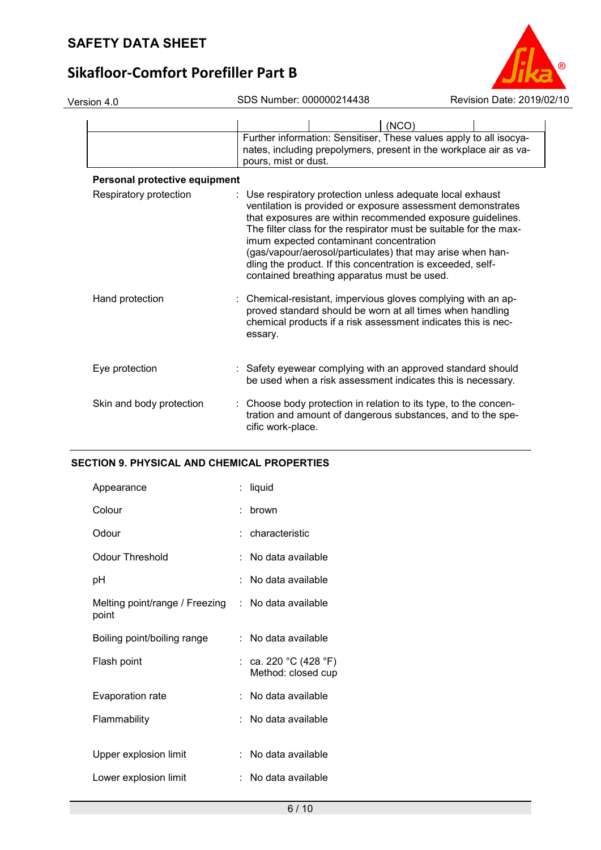| Version 4.0                   | SDS Number: 000000214438                                                                                                                                                                                                                                                                                                                                                                                                                                                            | Revision Date: 2019/02/10 |
|-------------------------------|-------------------------------------------------------------------------------------------------------------------------------------------------------------------------------------------------------------------------------------------------------------------------------------------------------------------------------------------------------------------------------------------------------------------------------------------------------------------------------------|---------------------------|
|                               | Further information: Sensitiser, These values apply to all isocya-<br>nates, including prepolymers, present in the workplace air as va-<br>pours, mist or dust.                                                                                                                                                                                                                                                                                                                     | (NCO)                     |
| Personal protective equipment |                                                                                                                                                                                                                                                                                                                                                                                                                                                                                     |                           |
| Respiratory protection        | : Use respiratory protection unless adequate local exhaust<br>ventilation is provided or exposure assessment demonstrates<br>that exposures are within recommended exposure guidelines.<br>The filter class for the respirator must be suitable for the max-<br>imum expected contaminant concentration<br>(gas/vapour/aerosol/particulates) that may arise when han-<br>dling the product. If this concentration is exceeded, self-<br>contained breathing apparatus must be used. |                           |
| Hand protection               | : Chemical-resistant, impervious gloves complying with an ap-<br>proved standard should be worn at all times when handling<br>chemical products if a risk assessment indicates this is nec-<br>essary.                                                                                                                                                                                                                                                                              |                           |
| Eye protection                | : Safety eyewear complying with an approved standard should<br>be used when a risk assessment indicates this is necessary.                                                                                                                                                                                                                                                                                                                                                          |                           |
| Skin and body protection      | : Choose body protection in relation to its type, to the concen-<br>tration and amount of dangerous substances, and to the spe-<br>cific work-place.                                                                                                                                                                                                                                                                                                                                |                           |

# **SECTION 9. PHYSICAL AND CHEMICAL PROPERTIES**

|                                | liquid                                      |
|--------------------------------|---------------------------------------------|
|                                | brown                                       |
|                                | characteristic                              |
|                                | No data available                           |
|                                | No data available                           |
| Melting point/range / Freezing | : No data available                         |
|                                | : No data available                         |
|                                | : ca. 220 °C (428 °F)<br>Method: closed cup |
|                                | ∶ No data available                         |
|                                | No data available                           |
|                                | No data available                           |
|                                | No data available                           |
|                                |                                             |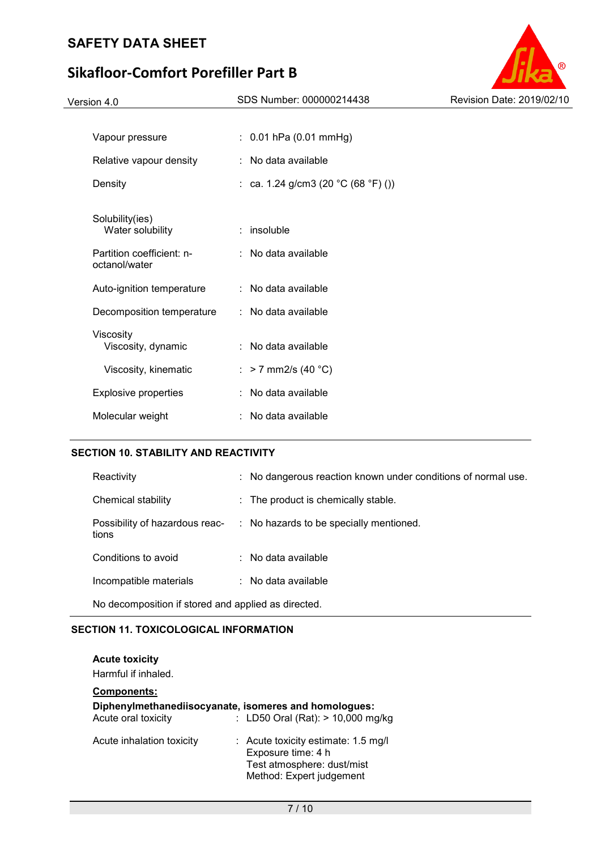# **Sikafloor-Comfort Porefiller Part B**

| Version 4.0                                | SDS Number: 000000214438                 | Revision Date: 2019/02/10 |
|--------------------------------------------|------------------------------------------|---------------------------|
|                                            |                                          |                           |
| Vapour pressure                            | $: 0.01$ hPa (0.01 mmHg)                 |                           |
| Relative vapour density                    | : No data available                      |                           |
| Density                                    | : ca. 1.24 g/cm3 (20 $°C$ (68 $°F$ ) ()) |                           |
| Solubility(ies)<br>Water solubility        | $:$ insoluble                            |                           |
| Partition coefficient: n-<br>octanol/water | : No data available                      |                           |
| Auto-ignition temperature                  | : No data available                      |                           |
| Decomposition temperature                  | : No data available                      |                           |
| Viscosity<br>Viscosity, dynamic            | : No data available                      |                           |
| Viscosity, kinematic                       | : > 7 mm2/s (40 °C)                      |                           |
| Explosive properties                       | : No data available                      |                           |
| Molecular weight                           | : No data available                      |                           |

# **SECTION 10. STABILITY AND REACTIVITY**

| Reactivity                                          |  | : No dangerous reaction known under conditions of normal use. |  |  |
|-----------------------------------------------------|--|---------------------------------------------------------------|--|--|
| Chemical stability                                  |  | $\therefore$ The product is chemically stable.                |  |  |
| Possibility of hazardous reac-<br>tions             |  | : No hazards to be specially mentioned.                       |  |  |
| Conditions to avoid                                 |  | $:$ No data available                                         |  |  |
| Incompatible materials                              |  | $:$ No data available                                         |  |  |
| No decomposition if stored and applied as directed. |  |                                                               |  |  |

## **SECTION 11. TOXICOLOGICAL INFORMATION**

#### **Acute toxicity**

Harmful if inhaled.

# **Components: Diphenylmethanediisocyanate, isomeres and homologues:**<br>Acute oral toxicity : LD50 Oral (Rat): > 10,000 mg  $\therefore$  LD50 Oral (Rat): > 10,000 mg/kg Acute inhalation toxicity : Acute toxicity estimate: 1.5 mg/l Exposure time: 4 h Test atmosphere: dust/mist Method: Expert judgement

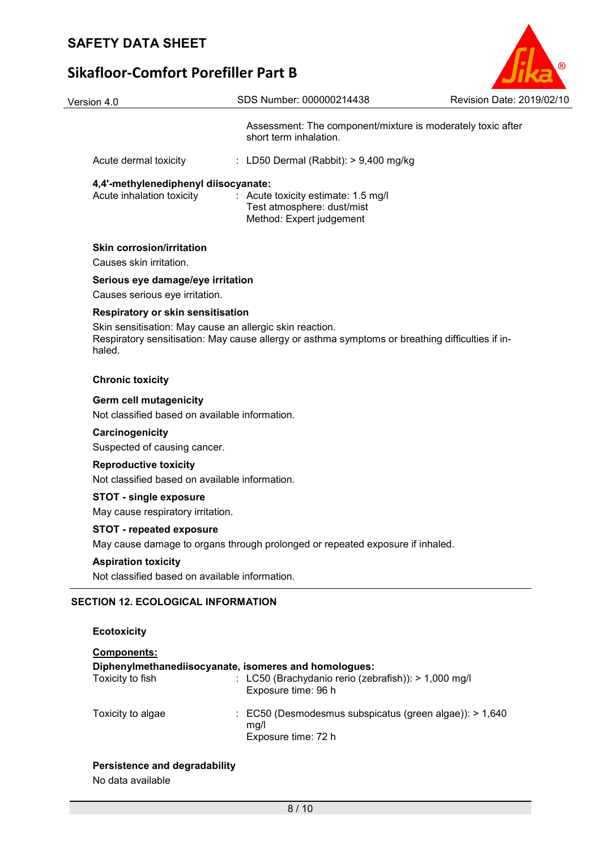| Version 4.0                                                                     | SDS Number: 000000214438                                                                                                                                     | Revision Date: 2019/02/10 |
|---------------------------------------------------------------------------------|--------------------------------------------------------------------------------------------------------------------------------------------------------------|---------------------------|
|                                                                                 | Assessment: The component/mixture is moderately toxic after<br>short term inhalation.                                                                        |                           |
| Acute dermal toxicity                                                           | : LD50 Dermal (Rabbit): $> 9,400$ mg/kg                                                                                                                      |                           |
| 4,4'-methylenediphenyl diisocyanate:<br>Acute inhalation toxicity               | : Acute toxicity estimate: 1.5 mg/l<br>Test atmosphere: dust/mist<br>Method: Expert judgement                                                                |                           |
| <b>Skin corrosion/irritation</b><br>Causes skin irritation.                     |                                                                                                                                                              |                           |
| Serious eye damage/eye irritation                                               |                                                                                                                                                              |                           |
| Causes serious eye irritation.                                                  |                                                                                                                                                              |                           |
| <b>Respiratory or skin sensitisation</b><br>haled.                              | Skin sensitisation: May cause an allergic skin reaction.<br>Respiratory sensitisation: May cause allergy or asthma symptoms or breathing difficulties if in- |                           |
| <b>Chronic toxicity</b>                                                         |                                                                                                                                                              |                           |
| <b>Germ cell mutagenicity</b><br>Not classified based on available information. |                                                                                                                                                              |                           |
| Carcinogenicity<br>Suspected of causing cancer.                                 |                                                                                                                                                              |                           |
| <b>Reproductive toxicity</b><br>Not classified based on available information.  |                                                                                                                                                              |                           |
| <b>STOT - single exposure</b><br>May cause respiratory irritation.              |                                                                                                                                                              |                           |
| <b>STOT - repeated exposure</b>                                                 | May cause damage to organs through prolonged or repeated exposure if inhaled.                                                                                |                           |
| <b>Aspiration toxicity</b><br>Not classified based on available information.    |                                                                                                                                                              |                           |
| <b>SECTION 12. ECOLOGICAL INFORMATION</b>                                       |                                                                                                                                                              |                           |
| <b>Ecotoxicity</b>                                                              |                                                                                                                                                              |                           |
| Components:<br>Toxicity to fish                                                 | Diphenylmethanediisocyanate, isomeres and homologues:<br>: LC50 (Brachydanio rerio (zebrafish)): > 1,000 mg/l<br>Exposure time: 96 h                         |                           |
| Toxicity to algae                                                               | : EC50 (Desmodesmus subspicatus (green algae)): > 1,640<br>mg/l<br>Exposure time: 72 h                                                                       |                           |

 $\circ$ 

# **Persistence and degradability**

No data available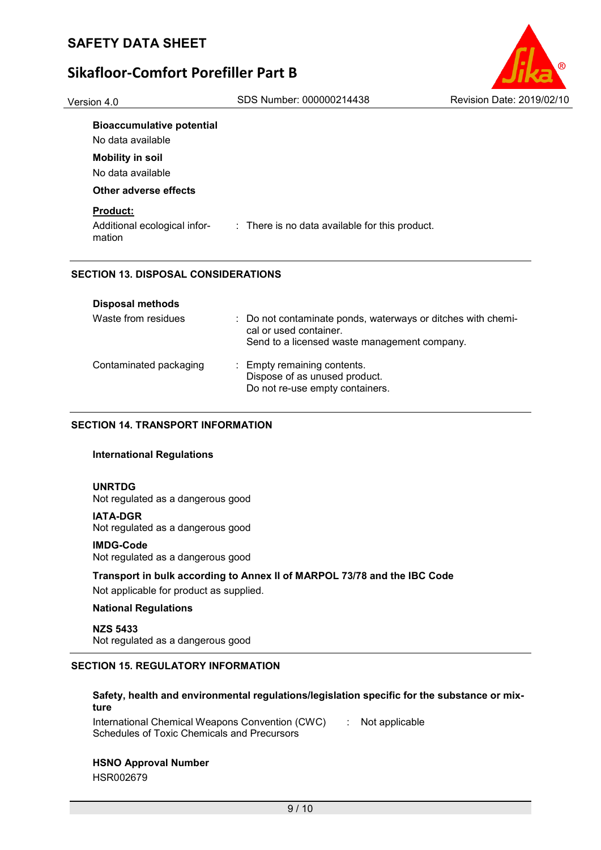Version 4.0 SDS Number: 000000214438 Revision Date: 2019/02/10



#### **Bioaccumulative potential**

No data available

# **Mobility in soil**

No data available

## **Other adverse effects**

## **Product:**

Additional ecological information : There is no data available for this product.

## **SECTION 13. DISPOSAL CONSIDERATIONS**

| <b>Disposal methods</b> |                                                                                                                                        |
|-------------------------|----------------------------------------------------------------------------------------------------------------------------------------|
| Waste from residues     | : Do not contaminate ponds, waterways or ditches with chemi-<br>cal or used container.<br>Send to a licensed waste management company. |
| Contaminated packaging  | : Empty remaining contents.<br>Dispose of as unused product.<br>Do not re-use empty containers.                                        |

## **SECTION 14. TRANSPORT INFORMATION**

## **International Regulations**

## **UNRTDG**

Not regulated as a dangerous good

#### **IATA-DGR**

Not regulated as a dangerous good

## **IMDG-Code**

Not regulated as a dangerous good

# **Transport in bulk according to Annex II of MARPOL 73/78 and the IBC Code**

Not applicable for product as supplied.

## **National Regulations**

**NZS 5433** Not regulated as a dangerous good

# **SECTION 15. REGULATORY INFORMATION**

# **Safety, health and environmental regulations/legislation specific for the substance or mixture**

International Chemical Weapons Convention (CWC) Schedules of Toxic Chemicals and Precursors : Not applicable

## **HSNO Approval Number**

HSR002679